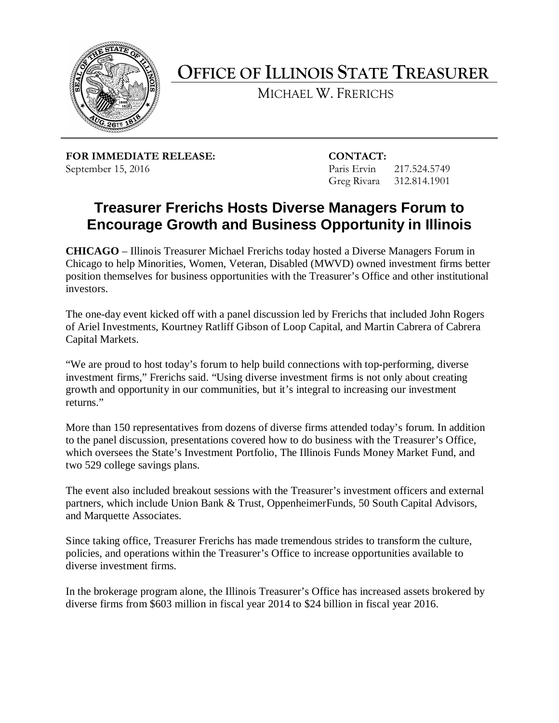

**OFFICE OF ILLINOIS STATE TREASURER**

MICHAEL W. FRERICHS

**FOR IMMEDIATE RELEASE: CONTACT:** September 15, 2016 Paris Ervin 217.524.5749

Greg Rivara 312.814.1901

## **Treasurer Frerichs Hosts Diverse Managers Forum to Encourage Growth and Business Opportunity in Illinois**

**CHICAGO** – Illinois Treasurer Michael Frerichs today hosted a Diverse Managers Forum in Chicago to help Minorities, Women, Veteran, Disabled (MWVD) owned investment firms better position themselves for business opportunities with the Treasurer's Office and other institutional investors.

The one-day event kicked off with a panel discussion led by Frerichs that included John Rogers of Ariel Investments, Kourtney Ratliff Gibson of Loop Capital, and Martin Cabrera of Cabrera Capital Markets.

"We are proud to host today's forum to help build connections with top-performing, diverse investment firms," Frerichs said. "Using diverse investment firms is not only about creating growth and opportunity in our communities, but it's integral to increasing our investment returns."

More than 150 representatives from dozens of diverse firms attended today's forum. In addition to the panel discussion, presentations covered how to do business with the Treasurer's Office, which oversees the State's Investment Portfolio, The Illinois Funds Money Market Fund, and two 529 college savings plans.

The event also included breakout sessions with the Treasurer's investment officers and external partners, which include Union Bank & Trust, OppenheimerFunds, 50 South Capital Advisors, and Marquette Associates.

Since taking office, Treasurer Frerichs has made tremendous strides to transform the culture, policies, and operations within the Treasurer's Office to increase opportunities available to diverse investment firms.

In the brokerage program alone, the Illinois Treasurer's Office has increased assets brokered by diverse firms from \$603 million in fiscal year 2014 to \$24 billion in fiscal year 2016.